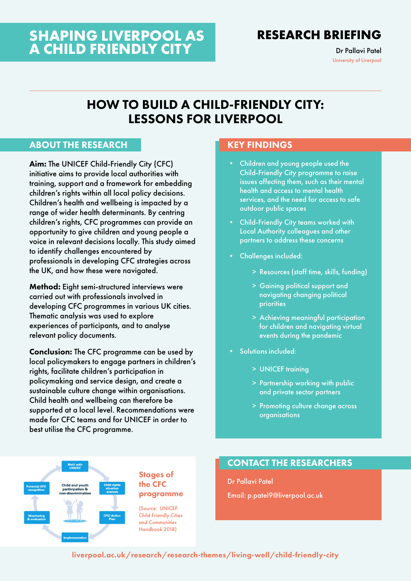# **SHAPING LIVERPOOL AS A CHILD FRIENDLY CITY**

# **RESEARCH BRIEFING**

Dr Pallavi Patel University of Liverpool

# HOW TO BUILD A CHILD-FRIENDLY CITY: LESSONS FOR LIVERPOOL

### ABOUT THE RESEARCH

Aim: The UNICEF Child-Friendly City (CFC) initiative aims to provide local authorities with training, support and a framework for embedding children's rights within all local policy decisions. Children's health and wellbeing is impacted by a range of wider health determinants. By centring children's rights, CFC programmes can provide an opportunity to give children and young people a voice in relevant decisions locally. This study aimed to identify challenges encountered by professionals in developing CFC strategies across the UK, and how these were navigated.

Method: Eight semi-structured interviews were carried out with professionals involved in developing CFC programmes in various UK cities. Thematic analysis was used to explore experiences of participants, and to analyse relevant policy documents.

Conclusion: The CFC programme can be used by local policymakers to engage partners in children's rights, facilitate children's participation in policymaking and service design, and create a sustainable culture change within organisations. Child health and wellbeing can therefore be supported at a local level. Recommendations were made for CFC teams and for UNICEF in order to best utilise the CFC programme.

### KEY FINDINGS

- Children and young people used the Child-Friendly City programme to raise issues affecting them, such as their mental health and access to mental health services, and the need for access to safe outdoor public spaces
- Child-Friendly City teams worked with Local Authority colleagues and other partners to address these concerns
- Challenges included:
	- > Resources (staff time, skills, funding)
	- > Gaining political support and navigating changing political priorities
	- > Achieving meaningful participation for children and navigating virtual events during the pandemic
- Solutions included:
	- > UNICEF training
	- > Partnership working with public and private sector partners
	- > Promoting culture change across organisations



#### Stages of the CFC programme

(Source: UNICEF. Child Friendly Cities and Communities Handbook 2018)

### CONTACT THE RESEARCHERS

Dr Pallavi Patel Email: [p.patel9@liverpool.ac.uk](mailto:p.patel9@liverpool.ac.uk)

[liverpool.ac.uk/research/research-themes/living-well/child-friendly-city](http://www.liverpool.ac.uk/research/research-themes/living-well/child-friendly-city/)